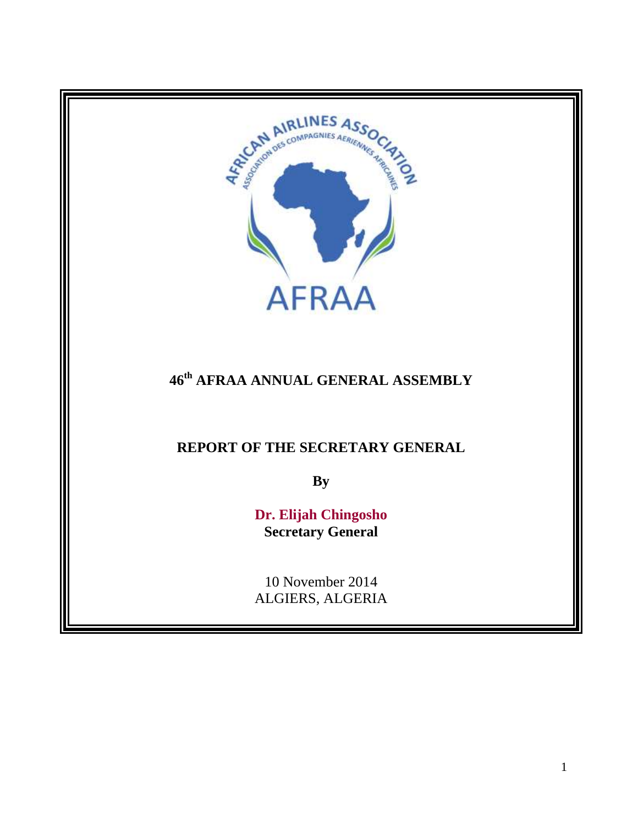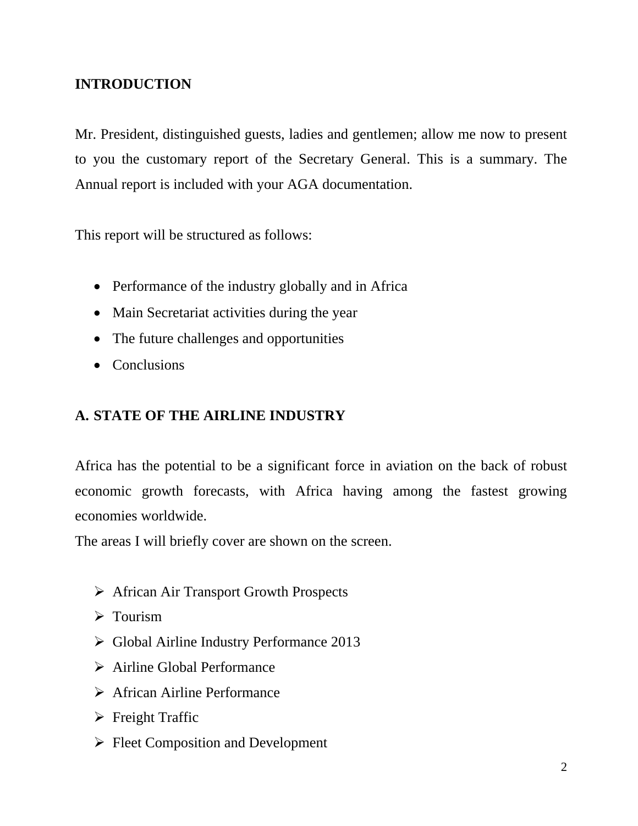# **INTRODUCTION**

Mr. President, distinguished guests, ladies and gentlemen; allow me now to present to you the customary report of the Secretary General. This is a summary. The Annual report is included with your AGA documentation.

This report will be structured as follows:

- Performance of the industry globally and in Africa
- Main Secretariat activities during the year
- The future challenges and opportunities
- Conclusions

# **A. STATE OF THE AIRLINE INDUSTRY**

Africa has the potential to be a significant force in aviation on the back of robust economic growth forecasts, with Africa having among the fastest growing economies worldwide.

The areas I will briefly cover are shown on the screen.

- African Air Transport Growth Prospects
- $\triangleright$  Tourism
- Global Airline Industry Performance 2013
- $\triangleright$  Airline Global Performance
- $\triangleright$  African Airline Performance
- $\triangleright$  Freight Traffic
- $\triangleright$  Fleet Composition and Development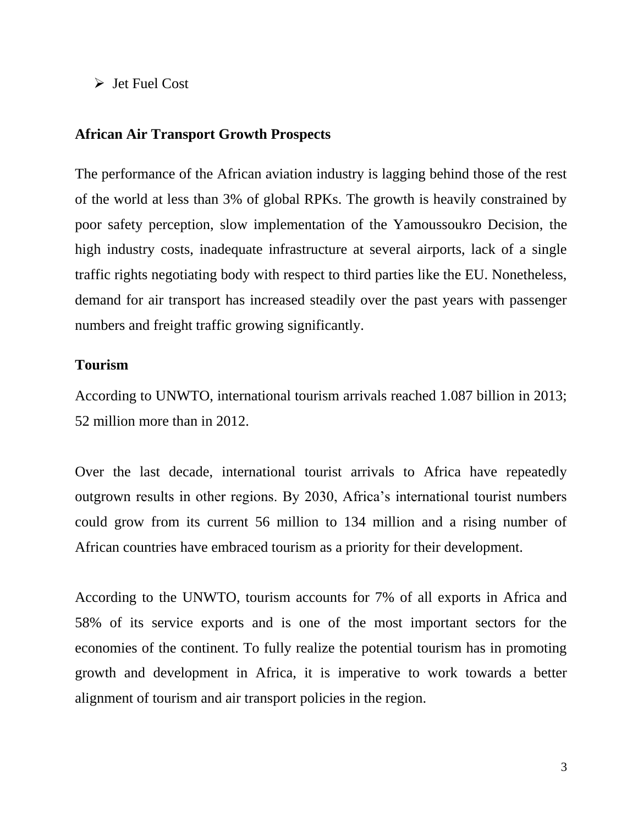$\triangleright$  Jet Fuel Cost

### **African Air Transport Growth Prospects**

The performance of the African aviation industry is lagging behind those of the rest of the world at less than 3% of global RPKs. The growth is heavily constrained by poor safety perception, slow implementation of the Yamoussoukro Decision, the high industry costs, inadequate infrastructure at several airports, lack of a single traffic rights negotiating body with respect to third parties like the EU. Nonetheless, demand for air transport has increased steadily over the past years with passenger numbers and freight traffic growing significantly.

### **Tourism**

According to UNWTO, international tourism arrivals reached 1.087 billion in 2013; 52 million more than in 2012.

Over the last decade, international tourist arrivals to Africa have repeatedly outgrown results in other regions. By 2030, Africa's international tourist numbers could grow from its current 56 million to 134 million and a rising number of African countries have embraced tourism as a priority for their development.

According to the UNWTO, tourism accounts for 7% of all exports in Africa and 58% of its service exports and is one of the most important sectors for the economies of the continent. To fully realize the potential tourism has in promoting growth and development in Africa, it is imperative to work towards a better alignment of tourism and air transport policies in the region.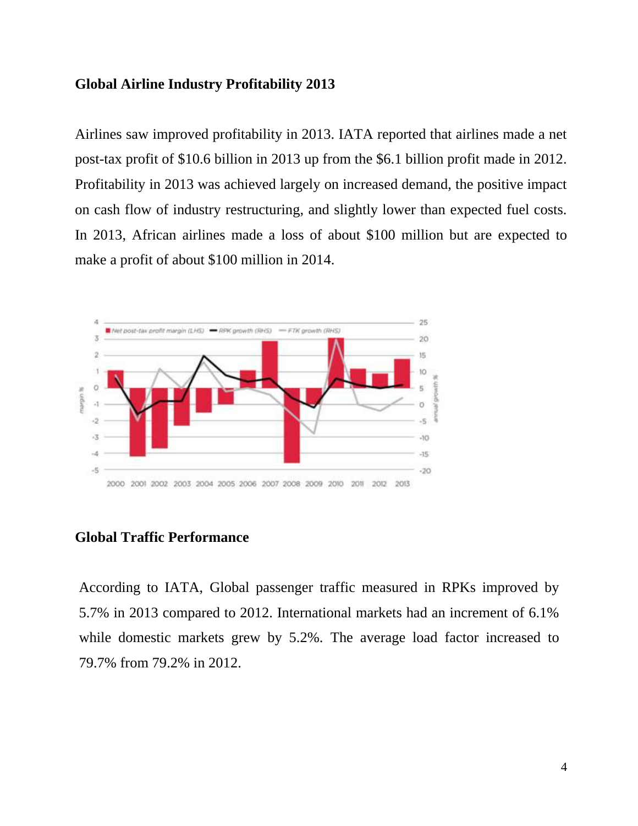### **Global Airline Industry Profitability 2013**

Airlines saw improved profitability in 2013. IATA reported that airlines made a net post-tax profit of \$10.6 billion in 2013 up from the \$6.1 billion profit made in 2012. Profitability in 2013 was achieved largely on increased demand, the positive impact on cash flow of industry restructuring, and slightly lower than expected fuel costs. In 2013, African airlines made a loss of about \$100 million but are expected to make a profit of about \$100 million in 2014.



### **Global Traffic Performance**

According to IATA, Global passenger traffic measured in RPKs improved by 5.7% in 2013 compared to 2012. International markets had an increment of 6.1% while domestic markets grew by 5.2%. The average load factor increased to 79.7% from 79.2% in 2012.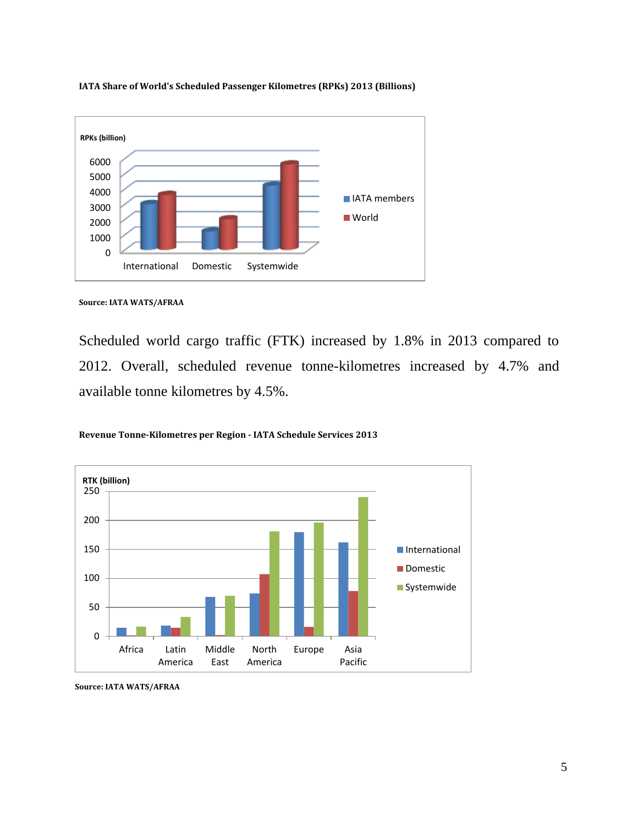

**IATA Share of World's Scheduled Passenger Kilometres (RPKs) 2013 (Billions)**

Scheduled world cargo traffic (FTK) increased by 1.8% in 2013 compared to 2012. Overall, scheduled revenue tonne-kilometres increased by 4.7% and available tonne kilometres by 4.5%.

**Revenue Tonne-Kilometres per Region - IATA Schedule Services 2013**



**Source: IATA WATS/AFRAA**

**Source: IATA WATS/AFRAA**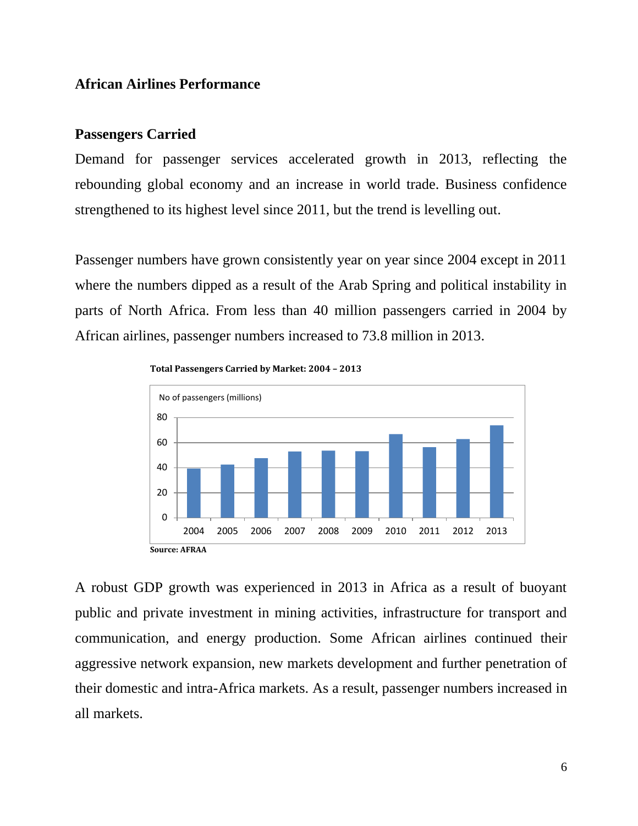### **African Airlines Performance**

#### **Passengers Carried**

Demand for passenger services accelerated growth in 2013, reflecting the rebounding global economy and an increase in world trade. Business confidence strengthened to its highest level since 2011, but the trend is levelling out.

Passenger numbers have grown consistently year on year since 2004 except in 2011 where the numbers dipped as a result of the Arab Spring and political instability in parts of North Africa. From less than 40 million passengers carried in 2004 by African airlines, passenger numbers increased to 73.8 million in 2013.





A robust GDP growth was experienced in 2013 in Africa as a result of buoyant public and private investment in mining activities, infrastructure for transport and communication, and energy production. Some African airlines continued their aggressive network expansion, new markets development and further penetration of their domestic and intra-Africa markets. As a result, passenger numbers increased in all markets.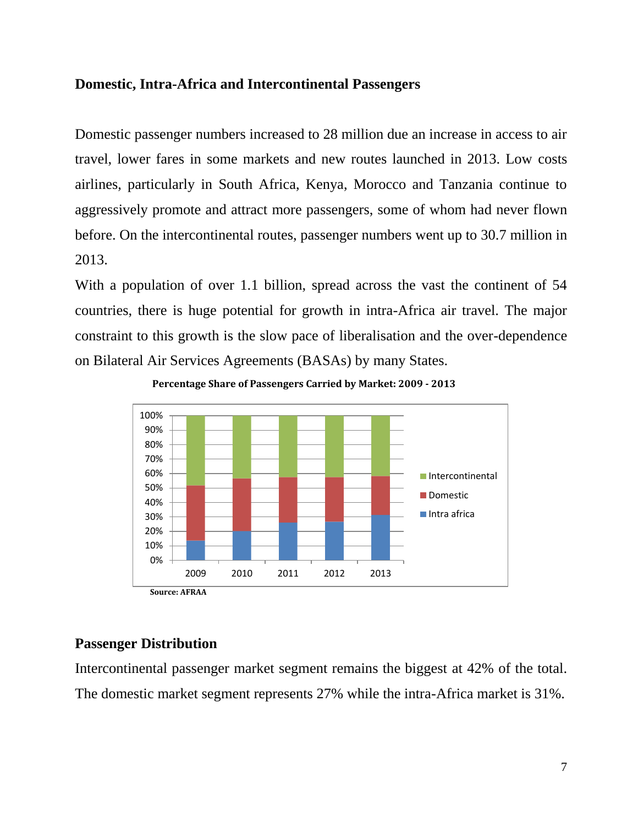# **Domestic, Intra-Africa and Intercontinental Passengers**

Domestic passenger numbers increased to 28 million due an increase in access to air travel, lower fares in some markets and new routes launched in 2013. Low costs airlines, particularly in South Africa, Kenya, Morocco and Tanzania continue to aggressively promote and attract more passengers, some of whom had never flown before. On the intercontinental routes, passenger numbers went up to 30.7 million in 2013.

With a population of over 1.1 billion, spread across the vast the continent of 54 countries, there is huge potential for growth in intra-Africa air travel. The major constraint to this growth is the slow pace of liberalisation and the over-dependence on Bilateral Air Services Agreements (BASAs) by many States.





# **Passenger Distribution**

Intercontinental passenger market segment remains the biggest at 42% of the total. The domestic market segment represents 27% while the intra-Africa market is 31%.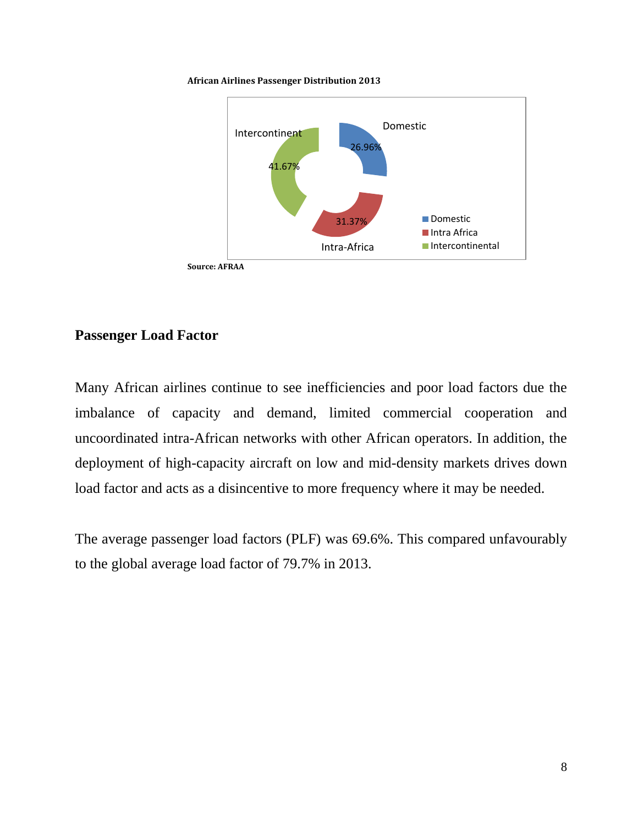**African Airlines Passenger Distribution 2013**



# **Passenger Load Factor**

Many African airlines continue to see inefficiencies and poor load factors due the imbalance of capacity and demand, limited commercial cooperation and uncoordinated intra-African networks with other African operators. In addition, the deployment of high-capacity aircraft on low and mid-density markets drives down load factor and acts as a disincentive to more frequency where it may be needed.

The average passenger load factors (PLF) was 69.6%. This compared unfavourably to the global average load factor of 79.7% in 2013.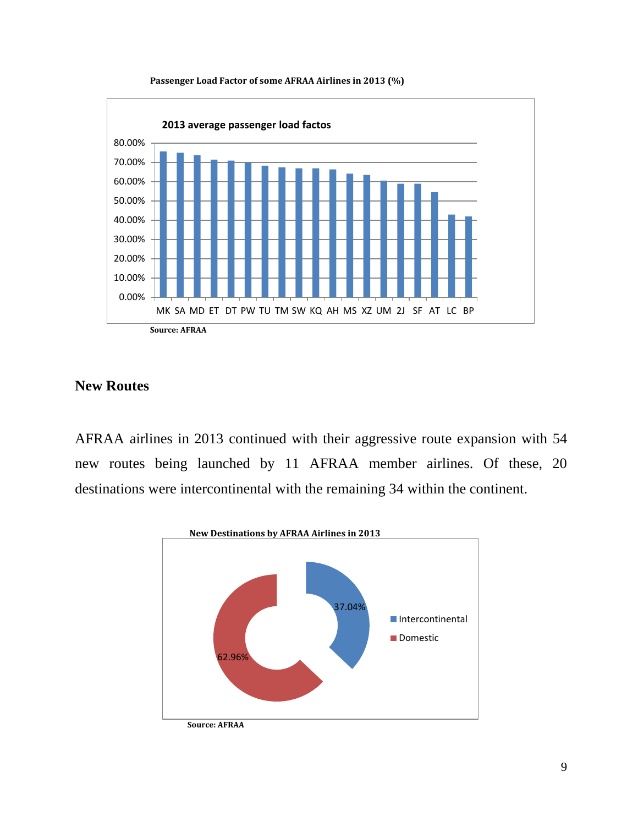

#### **Passenger Load Factor of some AFRAA Airlines in 2013 (%)**

# **New Routes**

AFRAA airlines in 2013 continued with their aggressive route expansion with 54 new routes being launched by 11 AFRAA member airlines. Of these, 20 destinations were intercontinental with the remaining 34 within the continent.

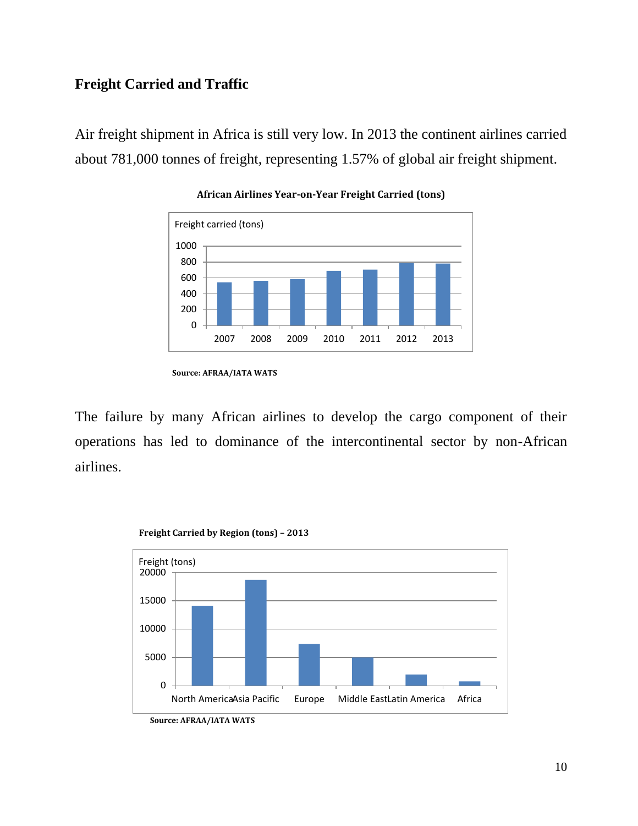# **Freight Carried and Traffic**

Air freight shipment in Africa is still very low. In 2013 the continent airlines carried about 781,000 tonnes of freight, representing 1.57% of global air freight shipment.



#### **African Airlines Year-on-Year Freight Carried (tons)**

The failure by many African airlines to develop the cargo component of their operations has led to dominance of the intercontinental sector by non-African airlines.



**Freight Carried by Region (tons) – 2013**

**Source: AFRAA/IATA WATS**

**Source: AFRAA/IATA WATS**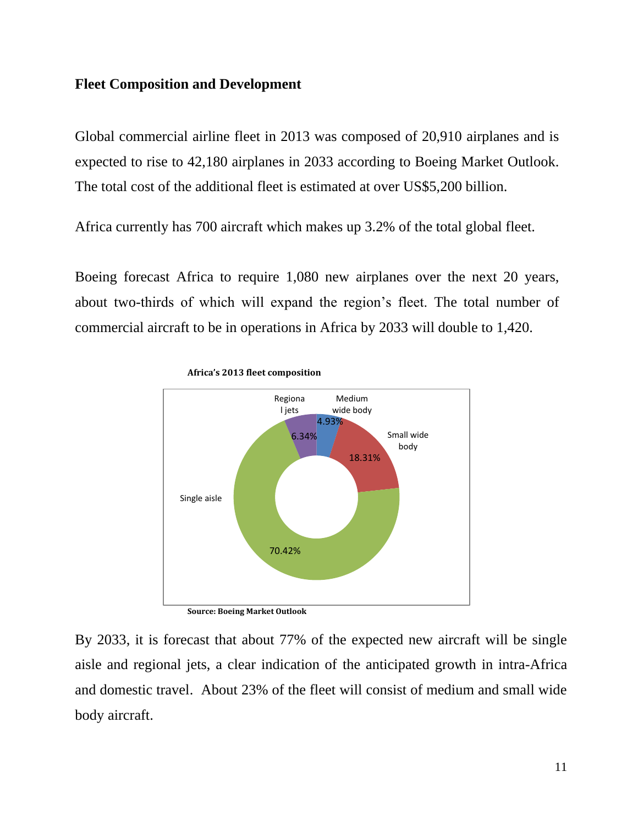### **Fleet Composition and Development**

Global commercial airline fleet in 2013 was composed of 20,910 airplanes and is expected to rise to 42,180 airplanes in 2033 according to Boeing Market Outlook. The total cost of the additional fleet is estimated at over US\$5,200 billion.

Africa currently has 700 aircraft which makes up 3.2% of the total global fleet.

Boeing forecast Africa to require 1,080 new airplanes over the next 20 years, about two-thirds of which will expand the region's fleet. The total number of commercial aircraft to be in operations in Africa by 2033 will double to 1,420.





**Source: Boeing Market Outlook** 

By 2033, it is forecast that about 77% of the expected new aircraft will be single aisle and regional jets, a clear indication of the anticipated growth in intra-Africa and domestic travel. About 23% of the fleet will consist of medium and small wide body aircraft.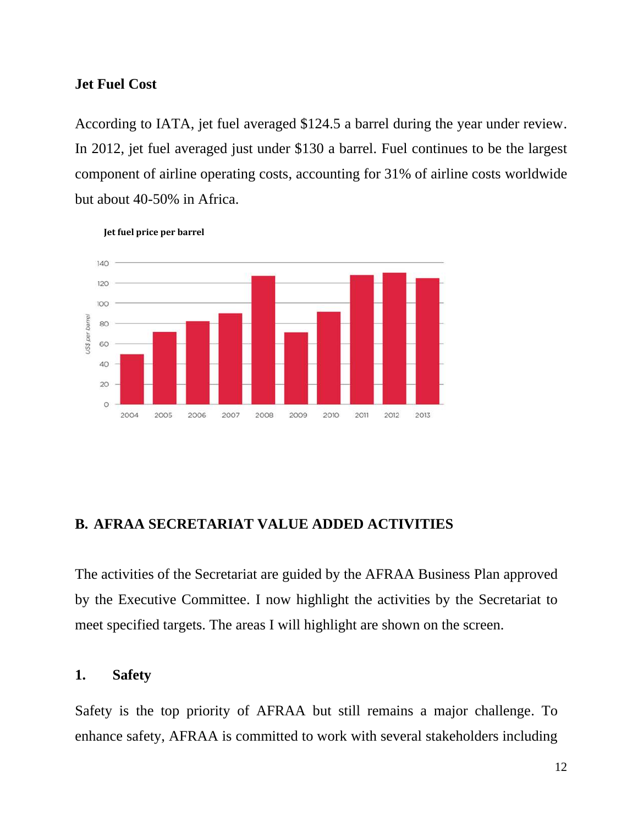### **Jet Fuel Cost**

According to IATA, jet fuel averaged \$124.5 a barrel during the year under review. In 2012, jet fuel averaged just under \$130 a barrel. Fuel continues to be the largest component of airline operating costs, accounting for 31% of airline costs worldwide but about 40-50% in Africa.



 **Jet fuel price per barrel**

### **B. AFRAA SECRETARIAT VALUE ADDED ACTIVITIES**

The activities of the Secretariat are guided by the AFRAA Business Plan approved by the Executive Committee. I now highlight the activities by the Secretariat to meet specified targets. The areas I will highlight are shown on the screen.

# **1. Safety**

Safety is the top priority of AFRAA but still remains a major challenge. To enhance safety, AFRAA is committed to work with several stakeholders including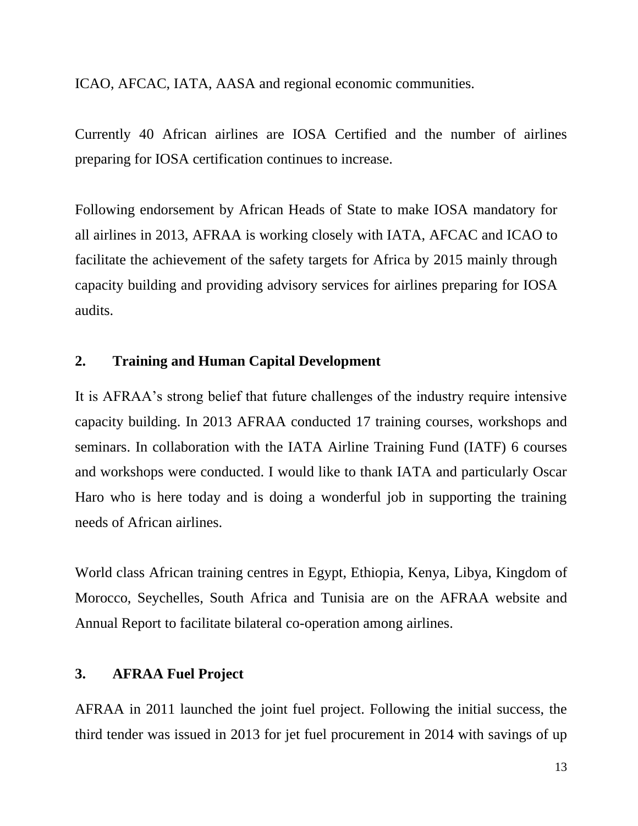ICAO, AFCAC, IATA, AASA and regional economic communities.

Currently 40 African airlines are IOSA Certified and the number of airlines preparing for IOSA certification continues to increase.

Following endorsement by African Heads of State to make IOSA mandatory for all airlines in 2013, AFRAA is working closely with IATA, AFCAC and ICAO to facilitate the achievement of the safety targets for Africa by 2015 mainly through capacity building and providing advisory services for airlines preparing for IOSA audits.

# **2. Training and Human Capital Development**

It is AFRAA's strong belief that future challenges of the industry require intensive capacity building. In 2013 AFRAA conducted 17 training courses, workshops and seminars. In collaboration with the IATA Airline Training Fund (IATF) 6 courses and workshops were conducted. I would like to thank IATA and particularly Oscar Haro who is here today and is doing a wonderful job in supporting the training needs of African airlines.

World class African training centres in Egypt, Ethiopia, Kenya, Libya, Kingdom of Morocco, Seychelles, South Africa and Tunisia are on the AFRAA website and Annual Report to facilitate bilateral co-operation among airlines.

# **3. AFRAA Fuel Project**

AFRAA in 2011 launched the joint fuel project. Following the initial success, the third tender was issued in 2013 for jet fuel procurement in 2014 with savings of up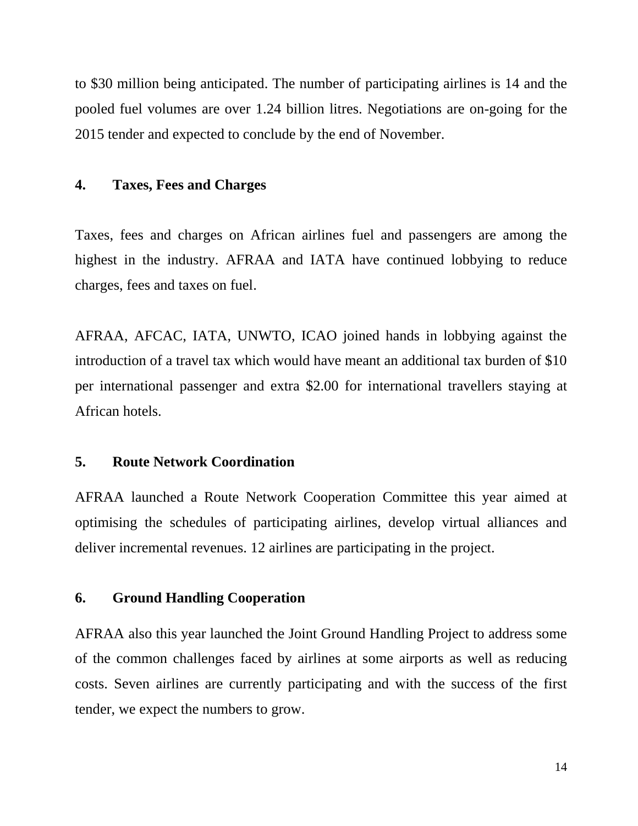to \$30 million being anticipated. The number of participating airlines is 14 and the pooled fuel volumes are over 1.24 billion litres. Negotiations are on-going for the 2015 tender and expected to conclude by the end of November.

### **4. Taxes, Fees and Charges**

Taxes, fees and charges on African airlines fuel and passengers are among the highest in the industry. AFRAA and IATA have continued lobbying to reduce charges, fees and taxes on fuel.

AFRAA, AFCAC, IATA, UNWTO, ICAO joined hands in lobbying against the introduction of a travel tax which would have meant an additional tax burden of \$10 per international passenger and extra \$2.00 for international travellers staying at African hotels.

### **5. Route Network Coordination**

AFRAA launched a Route Network Cooperation Committee this year aimed at optimising the schedules of participating airlines, develop virtual alliances and deliver incremental revenues. 12 airlines are participating in the project.

### **6. Ground Handling Cooperation**

AFRAA also this year launched the Joint Ground Handling Project to address some of the common challenges faced by airlines at some airports as well as reducing costs. Seven airlines are currently participating and with the success of the first tender, we expect the numbers to grow.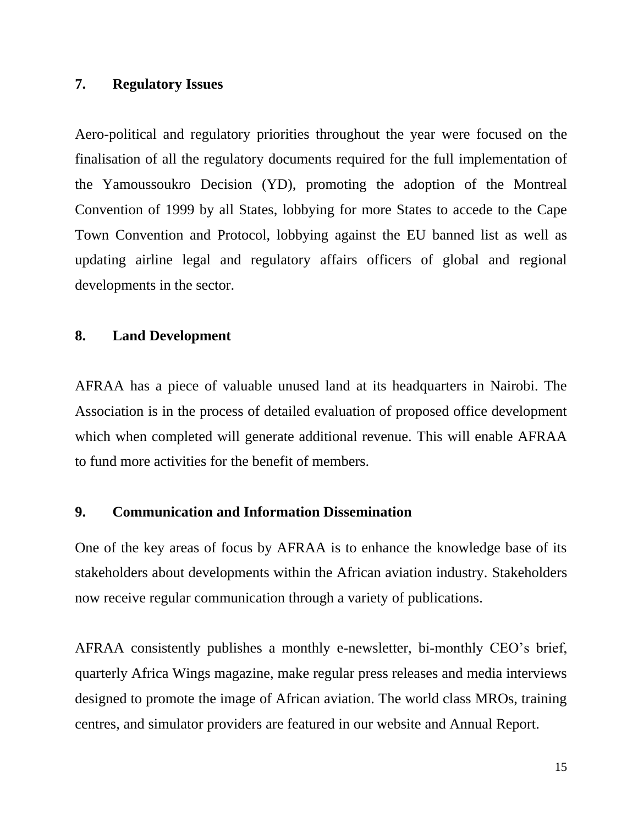# **7. Regulatory Issues**

Aero-political and regulatory priorities throughout the year were focused on the finalisation of all the regulatory documents required for the full implementation of the Yamoussoukro Decision (YD), promoting the adoption of the Montreal Convention of 1999 by all States, lobbying for more States to accede to the Cape Town Convention and Protocol, lobbying against the EU banned list as well as updating airline legal and regulatory affairs officers of global and regional developments in the sector.

### **8. Land Development**

AFRAA has a piece of valuable unused land at its headquarters in Nairobi. The Association is in the process of detailed evaluation of proposed office development which when completed will generate additional revenue. This will enable AFRAA to fund more activities for the benefit of members.

### **9. Communication and Information Dissemination**

One of the key areas of focus by AFRAA is to enhance the knowledge base of its stakeholders about developments within the African aviation industry. Stakeholders now receive regular communication through a variety of publications.

AFRAA consistently publishes a monthly e-newsletter, bi-monthly CEO's brief, quarterly Africa Wings magazine, make regular press releases and media interviews designed to promote the image of African aviation. The world class MROs, training centres, and simulator providers are featured in our website and Annual Report.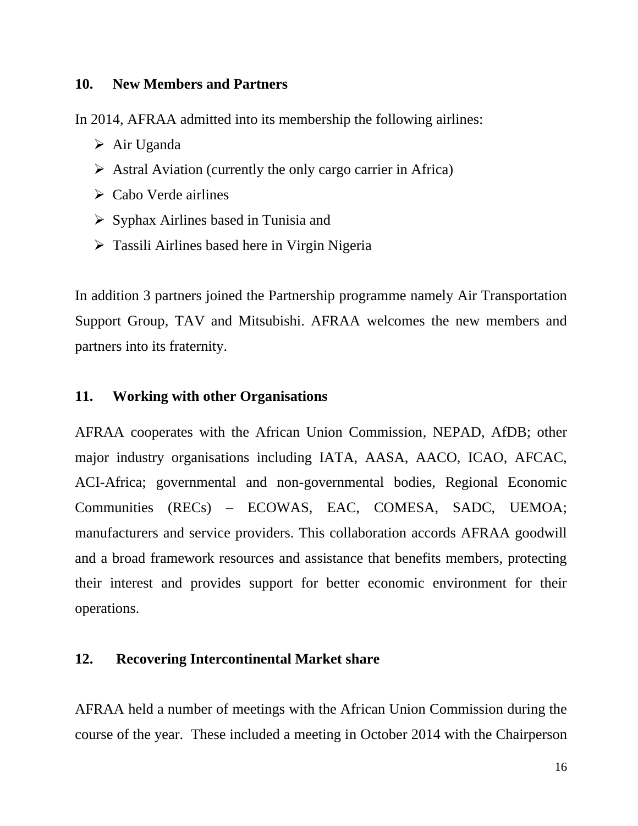### **10. New Members and Partners**

In 2014, AFRAA admitted into its membership the following airlines:

- Air Uganda
- $\triangleright$  Astral Aviation (currently the only cargo carrier in Africa)
- $\triangleright$  Cabo Verde airlines
- $\triangleright$  Syphax Airlines based in Tunisia and
- Tassili Airlines based here in Virgin Nigeria

In addition 3 partners joined the Partnership programme namely Air Transportation Support Group, TAV and Mitsubishi. AFRAA welcomes the new members and partners into its fraternity.

# **11. Working with other Organisations**

AFRAA cooperates with the African Union Commission, NEPAD, AfDB; other major industry organisations including IATA, AASA, AACO, ICAO, AFCAC, ACI-Africa; governmental and non-governmental bodies, Regional Economic Communities (RECs) – ECOWAS, EAC, COMESA, SADC, UEMOA; manufacturers and service providers. This collaboration accords AFRAA goodwill and a broad framework resources and assistance that benefits members, protecting their interest and provides support for better economic environment for their operations.

### **12. Recovering Intercontinental Market share**

AFRAA held a number of meetings with the African Union Commission during the course of the year. These included a meeting in October 2014 with the Chairperson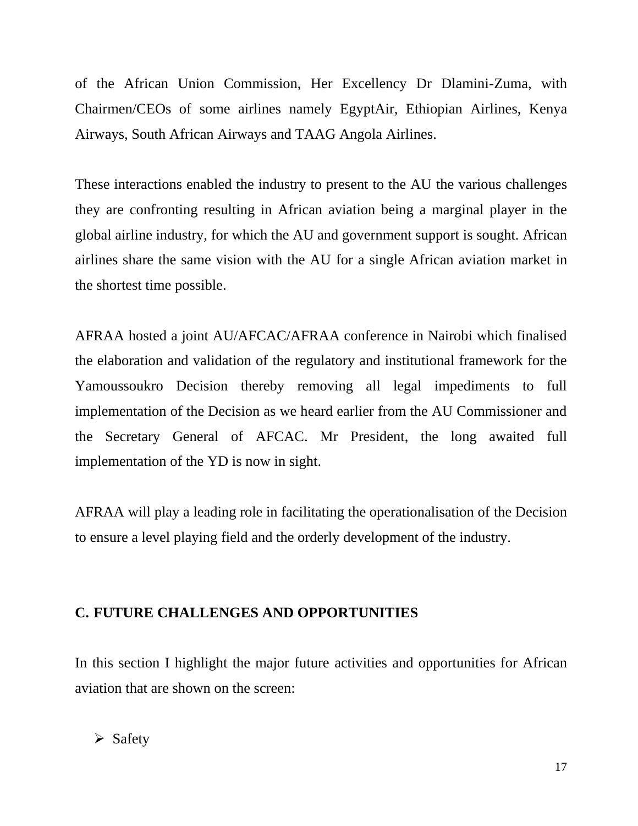of the African Union Commission, Her Excellency Dr Dlamini-Zuma, with Chairmen/CEOs of some airlines namely EgyptAir, Ethiopian Airlines, Kenya Airways, South African Airways and TAAG Angola Airlines.

These interactions enabled the industry to present to the AU the various challenges they are confronting resulting in African aviation being a marginal player in the global airline industry, for which the AU and government support is sought. African airlines share the same vision with the AU for a single African aviation market in the shortest time possible.

AFRAA hosted a joint AU/AFCAC/AFRAA conference in Nairobi which finalised the elaboration and validation of the regulatory and institutional framework for the Yamoussoukro Decision thereby removing all legal impediments to full implementation of the Decision as we heard earlier from the AU Commissioner and the Secretary General of AFCAC. Mr President, the long awaited full implementation of the YD is now in sight.

AFRAA will play a leading role in facilitating the operationalisation of the Decision to ensure a level playing field and the orderly development of the industry.

# **C. FUTURE CHALLENGES AND OPPORTUNITIES**

In this section I highlight the major future activities and opportunities for African aviation that are shown on the screen:

 $\triangleright$  Safety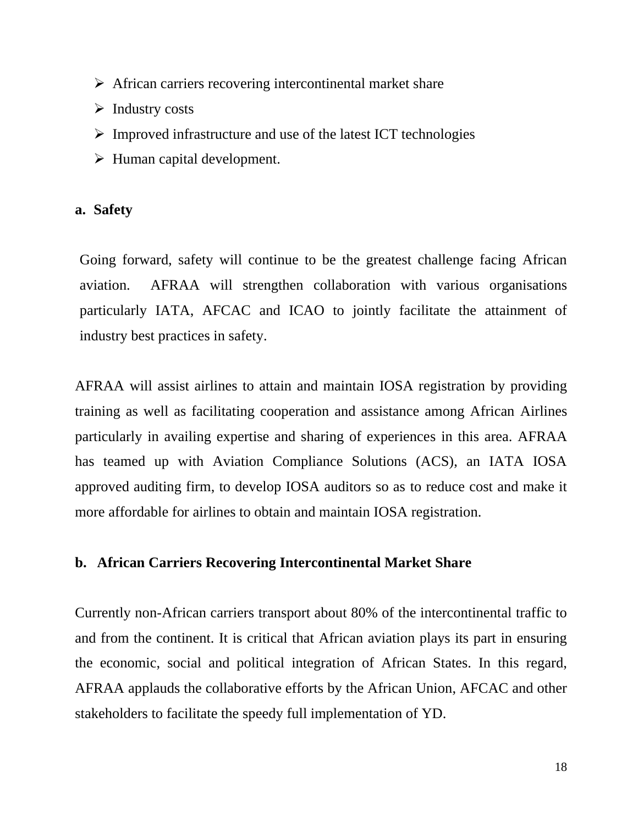- $\triangleright$  African carriers recovering intercontinental market share
- $\triangleright$  Industry costs
- $\triangleright$  Improved infrastructure and use of the latest ICT technologies
- $\triangleright$  Human capital development.

### **a. Safety**

Going forward, safety will continue to be the greatest challenge facing African aviation. AFRAA will strengthen collaboration with various organisations particularly IATA, AFCAC and ICAO to jointly facilitate the attainment of industry best practices in safety.

AFRAA will assist airlines to attain and maintain IOSA registration by providing training as well as facilitating cooperation and assistance among African Airlines particularly in availing expertise and sharing of experiences in this area. AFRAA has teamed up with Aviation Compliance Solutions (ACS), an IATA IOSA approved auditing firm, to develop IOSA auditors so as to reduce cost and make it more affordable for airlines to obtain and maintain IOSA registration.

### **b. African Carriers Recovering Intercontinental Market Share**

Currently non-African carriers transport about 80% of the intercontinental traffic to and from the continent. It is critical that African aviation plays its part in ensuring the economic, social and political integration of African States. In this regard, AFRAA applauds the collaborative efforts by the African Union, AFCAC and other stakeholders to facilitate the speedy full implementation of YD.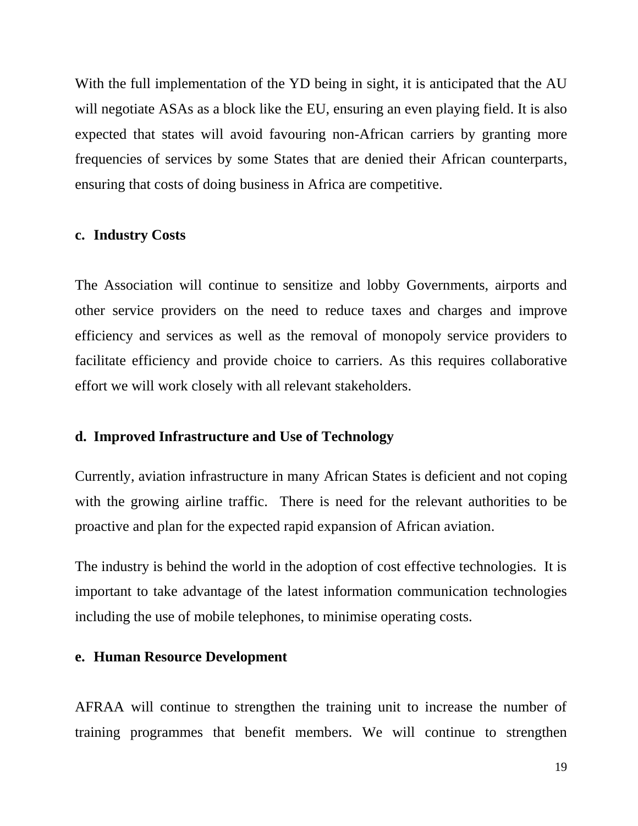With the full implementation of the YD being in sight, it is anticipated that the AU will negotiate ASAs as a block like the EU, ensuring an even playing field. It is also expected that states will avoid favouring non-African carriers by granting more frequencies of services by some States that are denied their African counterparts, ensuring that costs of doing business in Africa are competitive.

#### **c. Industry Costs**

The Association will continue to sensitize and lobby Governments, airports and other service providers on the need to reduce taxes and charges and improve efficiency and services as well as the removal of monopoly service providers to facilitate efficiency and provide choice to carriers. As this requires collaborative effort we will work closely with all relevant stakeholders.

### **d. Improved Infrastructure and Use of Technology**

Currently, aviation infrastructure in many African States is deficient and not coping with the growing airline traffic. There is need for the relevant authorities to be proactive and plan for the expected rapid expansion of African aviation.

The industry is behind the world in the adoption of cost effective technologies. It is important to take advantage of the latest information communication technologies including the use of mobile telephones, to minimise operating costs.

## **e. Human Resource Development**

AFRAA will continue to strengthen the training unit to increase the number of training programmes that benefit members. We will continue to strengthen